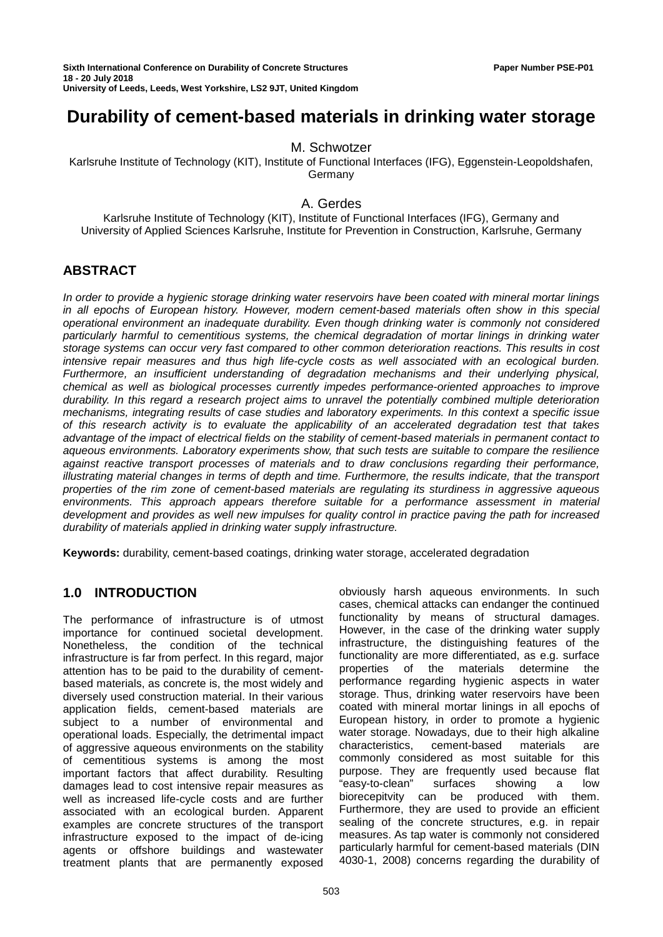Sixth International Conference on Durability of Concrete Structures **Paper Number PSE-P01** Paper Number PSE-P01 **18 - 20 July 2018 University of Leeds, Leeds, West Yorkshire, LS2 9JT, United Kingdom**

# M. Schwotzer

Karlsruhe Institute of Technology (KIT), Institute of Functional Interfaces (IFG), Eggenstein-Leopoldshafen, Germany

## A. Gerdes

Karlsruhe Institute of Technology (KIT), Institute of Functional Interfaces (IFG), Germany and University of Applied Sciences Karlsruhe, Institute for Prevention in Construction, Karlsruhe, Germany

# **ABSTRACT**

*In order to provide a hygienic storage drinking water reservoirs have been coated with mineral mortar linings in all epochs of European history. However, modern cement-based materials often show in this special operational environment an inadequate durability. Even though drinking water is commonly not considered particularly harmful to cementitious systems, the chemical degradation of mortar linings in drinking water storage systems can occur very fast compared to other common deterioration reactions. This results in cost intensive repair measures and thus high life-cycle costs as well associated with an ecological burden. Furthermore, an insufficient understanding of degradation mechanisms and their underlying physical, chemical as well as biological processes currently impedes performance-oriented approaches to improve durability. In this regard a research project aims to unravel the potentially combined multiple deterioration mechanisms, integrating results of case studies and laboratory experiments. In this context a specific issue of this research activity is to evaluate the applicability of an accelerated degradation test that takes advantage of the impact of electrical fields on the stability of cement-based materials in permanent contact to aqueous environments. Laboratory experiments show, that such tests are suitable to compare the resilience against reactive transport processes of materials and to draw conclusions regarding their performance, illustrating material changes in terms of depth and time. Furthermore, the results indicate, that the transport properties of the rim zone of cement-based materials are regulating its sturdiness in aggressive aqueous environments. This approach appears therefore suitable for a performance assessment in material development and provides as well new impulses for quality control in practice paving the path for increased durability of materials applied in drinking water supply infrastructure.*

**Keywords:** durability, cement-based coatings, drinking water storage, accelerated degradation

# **1.0 INTRODUCTION**

The performance of infrastructure is of utmost importance for continued societal development. Nonetheless, the condition of the technical infrastructure is far from perfect. In this regard, major attention has to be paid to the durability of cementbased materials, as concrete is, the most widely and diversely used construction material. In their various application fields, cement-based materials are subject to a number of environmental and operational loads. Especially, the detrimental impact of aggressive aqueous environments on the stability of cementitious systems is among the most important factors that affect durability. Resulting damages lead to cost intensive repair measures as well as increased life-cycle costs and are further associated with an ecological burden. Apparent examples are concrete structures of the transport infrastructure exposed to the impact of de-icing agents or offshore buildings and wastewater treatment plants that are permanently exposed

obviously harsh aqueous environments. In such cases, chemical attacks can endanger the continued functionality by means of structural damages. However, in the case of the drinking water supply infrastructure, the distinguishing features of the functionality are more differentiated, as e.g. surface properties of the materials determine the performance regarding hygienic aspects in water storage. Thus, drinking water reservoirs have been coated with mineral mortar linings in all epochs of European history, in order to promote a hygienic water storage. Nowadays, due to their high alkaline characteristics, cement-based materials are commonly considered as most suitable for this purpose. They are frequently used because flat "easy-to-clean" surfaces showing a low biorecepitvity can be produced with them. Furthermore, they are used to provide an efficient sealing of the concrete structures, e.g. in repair measures. As tap water is commonly not considered particularly harmful for cement-based materials (DIN 4030-1, 2008) concerns regarding the durability of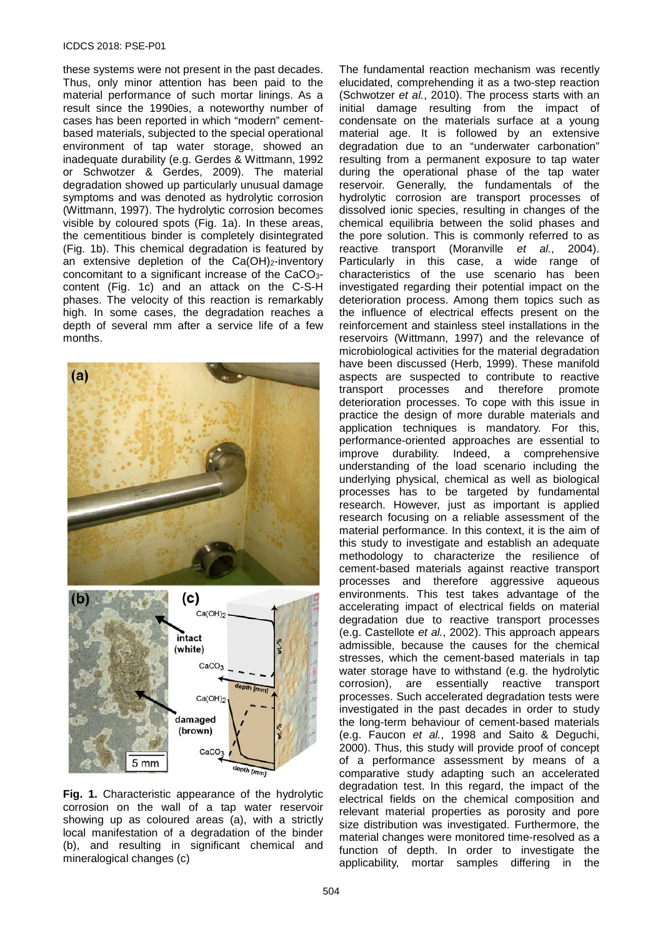#### ICDCS 2018: PSE-P01

these systems were not present in the past decades. Thus, only minor attention has been paid to the material performance of such mortar linings. As a result since the 1990ies, a noteworthy number of cases has been reported in which "modern" cementbased materials, subjected to the special operational environment of tap water storage, showed an inadequate durability (e.g. Gerdes & Wittmann, 1992 or Schwotzer & Gerdes, 2009). The material degradation showed up particularly unusual damage symptoms and was denoted as hydrolytic corrosion (Wittmann, 1997). The hydrolytic corrosion becomes visible by coloured spots (Fig. 1a). In these areas, the cementitious binder is completely disintegrated (Fig. 1b). This chemical degradation is featured by an extensive depletion of the  $Ca(OH)_2$ -inventory concomitant to a significant increase of the CaCO3 content (Fig. 1c) and an attack on the C-S-H phases. The velocity of this reaction is remarkably high. In some cases, the degradation reaches a depth of several mm after a service life of a few months.



**Fig. 1.** Characteristic appearance of the hydrolytic corrosion on the wall of a tap water reservoir showing up as coloured areas (a), with a strictly local manifestation of a degradation of the binder (b), and resulting in significant chemical and mineralogical changes (c)

The fundamental reaction mechanism was recently elucidated, comprehending it as a two-step reaction (Schwotzer *et al.*, 2010). The process starts with an initial damage resulting from the impact of condensate on the materials surface at a young material age. It is followed by an extensive degradation due to an "underwater carbonation" resulting from a permanent exposure to tap water during the operational phase of the tap water reservoir. Generally, the fundamentals of the hydrolytic corrosion are transport processes of dissolved ionic species, resulting in changes of the chemical equilibria between the solid phases and the pore solution. This is commonly referred to as reactive transport (Moranville *et al.*, 2004). Particularly in this case, a wide range of characteristics of the use scenario has been investigated regarding their potential impact on the deterioration process. Among them topics such as the influence of electrical effects present on the reinforcement and stainless steel installations in the reservoirs (Wittmann, 1997) and the relevance of microbiological activities for the material degradation have been discussed (Herb, 1999). These manifold aspects are suspected to contribute to reactive<br>transport processes and therefore promote transport processes and therefore deterioration processes. To cope with this issue in practice the design of more durable materials and application techniques is mandatory. For this, performance-oriented approaches are essential to improve durability. Indeed, a comprehensive understanding of the load scenario including the underlying physical, chemical as well as biological processes has to be targeted by fundamental research. However, just as important is applied research focusing on a reliable assessment of the material performance. In this context, it is the aim of this study to investigate and establish an adequate methodology to characterize the resilience of cement-based materials against reactive transport processes and therefore aggressive aqueous environments. This test takes advantage of the accelerating impact of electrical fields on material degradation due to reactive transport processes (e.g. Castellote *et al.*, 2002). This approach appears admissible, because the causes for the chemical stresses, which the cement-based materials in tap water storage have to withstand (e.g. the hydrolytic corrosion), are essentially reactive transport processes. Such accelerated degradation tests were investigated in the past decades in order to study the long-term behaviour of cement-based materials (e.g. Faucon *et al.*, 1998 and Saito & Deguchi, 2000). Thus, this study will provide proof of concept of a performance assessment by means of a comparative study adapting such an accelerated degradation test. In this regard, the impact of the electrical fields on the chemical composition and relevant material properties as porosity and pore size distribution was investigated. Furthermore, the material changes were monitored time-resolved as a function of depth. In order to investigate the applicability, mortar samples differing in the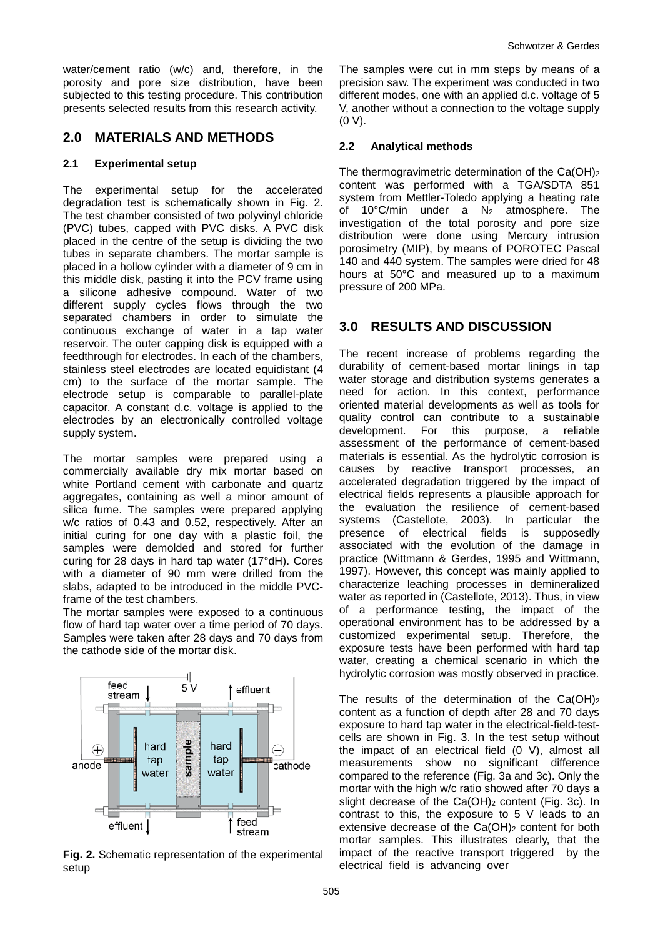water/cement ratio (w/c) and, therefore, in the porosity and pore size distribution, have been subjected to this testing procedure. This contribution presents selected results from this research activity.

## **2.0 MATERIALS AND METHODS**

#### **2.1 Experimental setup**

The experimental setup for the accelerated degradation test is schematically shown in Fig. 2. The test chamber consisted of two polyvinyl chloride (PVC) tubes, capped with PVC disks. A PVC disk placed in the centre of the setup is dividing the two tubes in separate chambers. The mortar sample is placed in a hollow cylinder with a diameter of 9 cm in this middle disk, pasting it into the PCV frame using a silicone adhesive compound. Water of two different supply cycles flows through the two separated chambers in order to simulate the continuous exchange of water in a tap water reservoir. The outer capping disk is equipped with a feedthrough for electrodes. In each of the chambers, stainless steel electrodes are located equidistant (4 cm) to the surface of the mortar sample. The electrode setup is comparable to parallel-plate capacitor. A constant d.c. voltage is applied to the electrodes by an electronically controlled voltage supply system.

The mortar samples were prepared using a commercially available dry mix mortar based on white Portland cement with carbonate and quartz aggregates, containing as well a minor amount of silica fume. The samples were prepared applying w/c ratios of 0.43 and 0.52, respectively. After an initial curing for one day with a plastic foil, the samples were demolded and stored for further curing for 28 days in hard tap water (17°dH). Cores with a diameter of 90 mm were drilled from the slabs, adapted to be introduced in the middle PVCframe of the test chambers.

The mortar samples were exposed to a continuous flow of hard tap water over a time period of 70 days. Samples were taken after 28 days and 70 days from the cathode side of the mortar disk.



**Fig. 2.** Schematic representation of the experimental setup

The samples were cut in mm steps by means of a precision saw. The experiment was conducted in two different modes, one with an applied d.c. voltage of 5 V, another without a connection to the voltage supply (0 V).

### **2.2 Analytical methods**

The thermogravimetric determination of the Ca(OH)<sub>2</sub> content was performed with a TGA/SDTA 851 system from Mettler-Toledo applying a heating rate of 10 $^{\circ}$ C/min under a N<sub>2</sub> atmosphere. The investigation of the total porosity and pore size distribution were done using Mercury intrusion porosimetry (MIP), by means of POROTEC Pascal 140 and 440 system. The samples were dried for 48 hours at 50°C and measured up to a maximum pressure of 200 MPa.

# **3.0 RESULTS AND DISCUSSION**

The recent increase of problems regarding the durability of cement-based mortar linings in tap water storage and distribution systems generates a need for action. In this context, performance oriented material developments as well as tools for quality control can contribute to a sustainable<br>development. For this purpose, a reliable development. For this purpose, a assessment of the performance of cement-based materials is essential. As the hydrolytic corrosion is causes by reactive transport processes, an accelerated degradation triggered by the impact of electrical fields represents a plausible approach for the evaluation the resilience of cement-based systems (Castellote, 2003). In particular the presence of electrical fields is supposedly associated with the evolution of the damage in practice (Wittmann & Gerdes, 1995 and Wittmann, 1997). However, this concept was mainly applied to characterize leaching processes in demineralized water as reported in (Castellote, 2013). Thus, in view of a performance testing, the impact of the operational environment has to be addressed by a customized experimental setup. Therefore, the exposure tests have been performed with hard tap water, creating a chemical scenario in which the hydrolytic corrosion was mostly observed in practice.

The results of the determination of the  $Ca(OH)_2$ content as a function of depth after 28 and 70 days exposure to hard tap water in the electrical-field-testcells are shown in Fig. 3. In the test setup without the impact of an electrical field (0 V), almost all measurements show no significant difference compared to the reference (Fig. 3a and 3c). Only the mortar with the high w/c ratio showed after 70 days a slight decrease of the Ca(OH)<sub>2</sub> content (Fig. 3c). In contrast to this, the exposure to 5 V leads to an extensive decrease of the Ca(OH)<sub>2</sub> content for both mortar samples. This illustrates clearly, that the impact of the reactive transport triggered by the electrical field is advancing over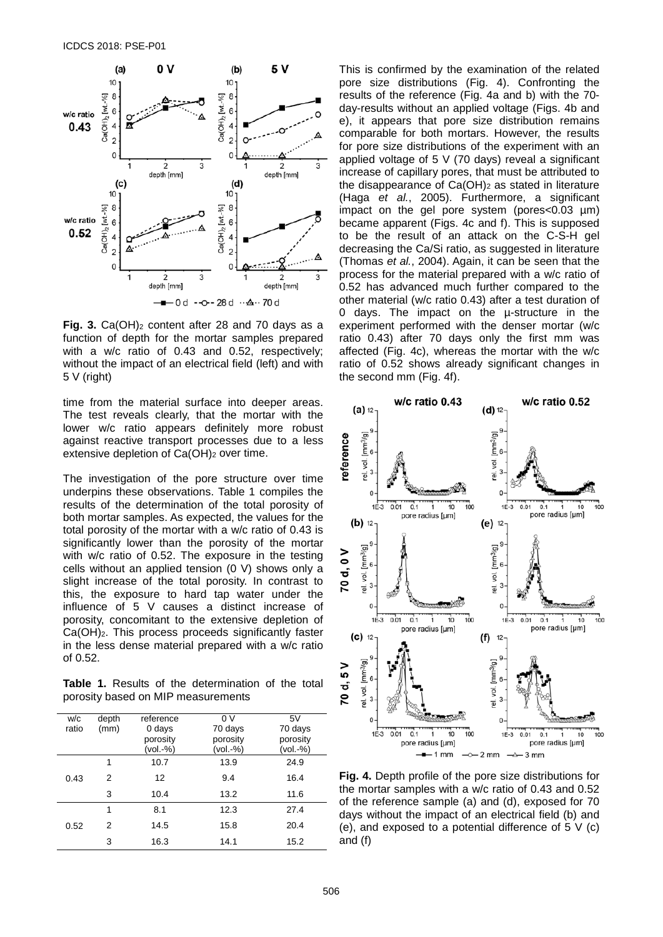

**Fig. 3.** Ca(OH)<sub>2</sub> content after 28 and 70 days as a function of depth for the mortar samples prepared with a w/c ratio of 0.43 and 0.52, respectively; without the impact of an electrical field (left) and with 5 V (right)

time from the material surface into deeper areas. The test reveals clearly, that the mortar with the lower w/c ratio appears definitely more robust against reactive transport processes due to a less extensive depletion of Ca(OH)<sub>2</sub> over time.

The investigation of the pore structure over time underpins these observations. Table 1 compiles the results of the determination of the total porosity of both mortar samples. As expected, the values for the total porosity of the mortar with a w/c ratio of 0.43 is significantly lower than the porosity of the mortar with w/c ratio of 0.52. The exposure in the testing cells without an applied tension (0 V) shows only a slight increase of the total porosity. In contrast to this, the exposure to hard tap water under the influence of 5 V causes a distinct increase of porosity, concomitant to the extensive depletion of Ca(OH)2. This process proceeds significantly faster in the less dense material prepared with a w/c ratio of 0.52.

**Table 1.** Results of the determination of the total porosity based on MIP measurements

| w/c<br>ratio | depth<br>(mm) | reference<br>0 days  | 0 <sup>V</sup><br>70 days | 5V<br>70 days        |
|--------------|---------------|----------------------|---------------------------|----------------------|
|              |               | porosity<br>(vol.-%) | porosity<br>(vol.-%)      | porosity<br>(vol.-%) |
| 0.43         | 1             | 10.7                 | 13.9                      | 24.9                 |
|              | 2             | 12                   | 9.4                       | 16.4                 |
|              | 3             | 10.4                 | 13.2                      | 11.6                 |
| 0.52         | 1             | 8.1                  | 12.3                      | 27.4                 |
|              | 2             | 14.5                 | 15.8                      | 20.4                 |
|              | 3             | 16.3                 | 14.1                      | 15.2                 |

This is confirmed by the examination of the related pore size distributions (Fig. 4). Confronting the results of the reference (Fig. 4a and b) with the 70 day-results without an applied voltage (Figs. 4b and e), it appears that pore size distribution remains comparable for both mortars. However, the results for pore size distributions of the experiment with an applied voltage of 5 V (70 days) reveal a significant increase of capillary pores, that must be attributed to the disappearance of  $Ca(OH)_2$  as stated in literature (Haga *et al.*, 2005). Furthermore, a significant impact on the gel pore system (pores<0.03  $\mu$ m) became apparent (Figs. 4c and f). This is supposed to be the result of an attack on the C-S-H gel decreasing the Ca/Si ratio, as suggested in literature (Thomas *et al.*, 2004). Again, it can be seen that the process for the material prepared with a w/c ratio of 0.52 has advanced much further compared to the other material (w/c ratio 0.43) after a test duration of 0 days. The impact on the µ-structure in the experiment performed with the denser mortar (w/c ratio 0.43) after 70 days only the first mm was affected (Fig. 4c), whereas the mortar with the w/c ratio of 0.52 shows already significant changes in the second mm (Fig. 4f).



**Fig. 4.** Depth profile of the pore size distributions for the mortar samples with a w/c ratio of 0.43 and 0.52 of the reference sample (a) and (d), exposed for 70 days without the impact of an electrical field (b) and (e), and exposed to a potential difference of 5 V (c) and (f)